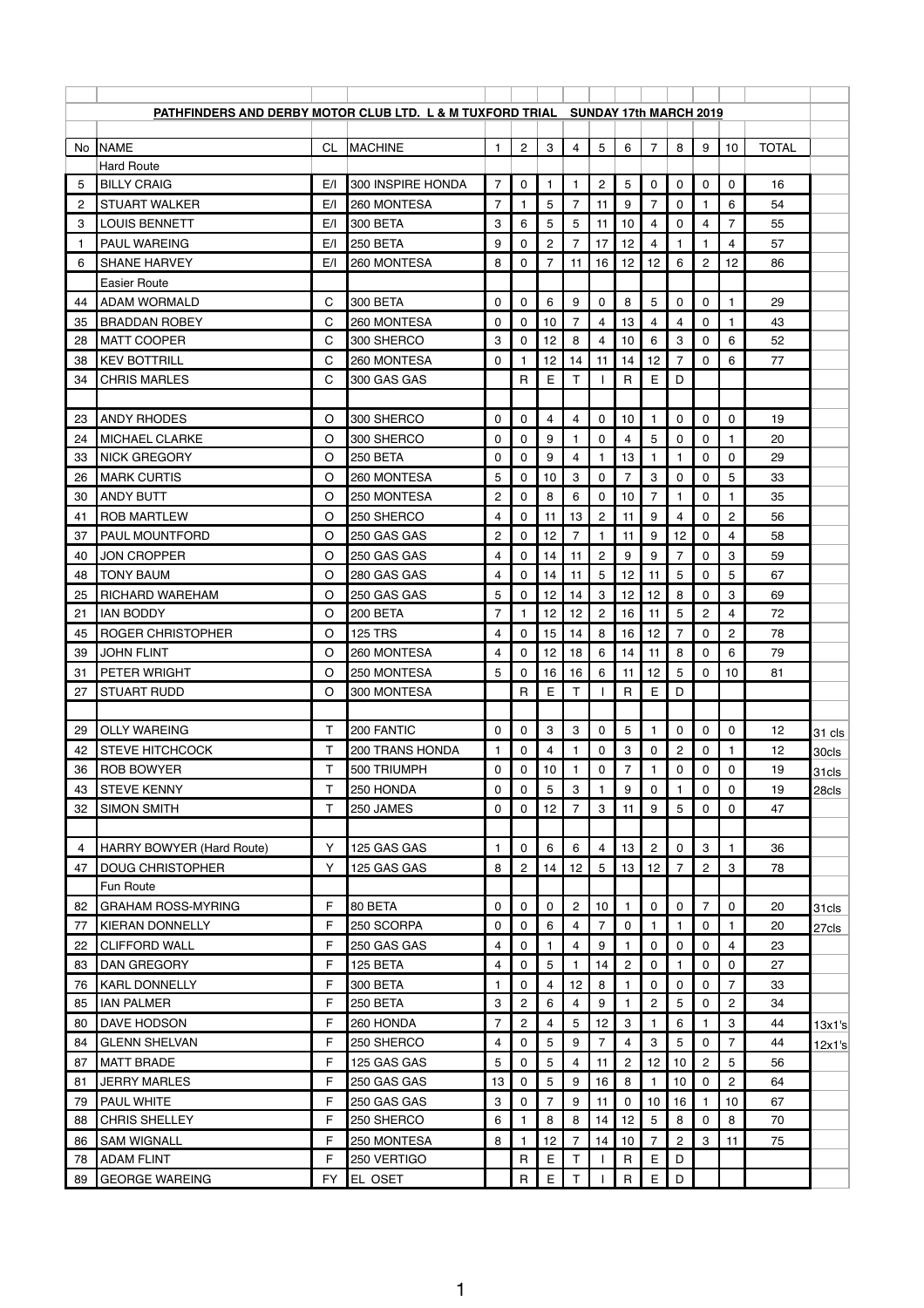|     | PATHFINDERS AND DERBY MOTOR CLUB LTD. L & M TUXFORD TRIAL SUNDAY 17th MARCH 2019 |           |                   |                |                |                |                  |                |                           |                |                |                |                         |              |                   |
|-----|----------------------------------------------------------------------------------|-----------|-------------------|----------------|----------------|----------------|------------------|----------------|---------------------------|----------------|----------------|----------------|-------------------------|--------------|-------------------|
| No. | <b>NAME</b>                                                                      | <b>CL</b> | <b>MACHINE</b>    | $\mathbf{1}$   | $\overline{2}$ | 3              | $\overline{4}$   | 5              | 6                         | $\overline{7}$ | 8              | 9              | 10                      | <b>TOTAL</b> |                   |
|     | <b>Hard Route</b>                                                                |           |                   |                |                |                |                  |                |                           |                |                |                |                         |              |                   |
| 5   | <b>BILLY CRAIG</b>                                                               | E/I       | 300 INSPIRE HONDA | 7              | 0              | 1.             | $\mathbf{1}$     | $\overline{2}$ | 5                         | $\mathbf 0$    | 0              | 0              | 0                       | 16           |                   |
| 2   | <b>STUART WALKER</b>                                                             | E/I       | 260 MONTESA       | $\overline{7}$ |                | 5              | $\overline{7}$   | 11             | 9                         | $\overline{7}$ | $\mathbf 0$    |                | 6                       | 54           |                   |
| 3   | <b>LOUIS BENNETT</b>                                                             | E/I       | <b>300 BETA</b>   | 3              | 6              | 5              | 5                | 11             | 10                        | 4              | 0              | 4              | $\overline{7}$          | 55           |                   |
| 1   | <b>PAUL WAREING</b>                                                              | E/I       | 250 BETA          | 9              | 0              | $\overline{c}$ | 7                | 17             | 12                        | 4              |                |                | 4                       | 57           |                   |
| 6   | <b>SHANE HARVEY</b>                                                              | E/I       | 260 MONTESA       | 8              | 0              | 7              | 11               | 16             | 12                        | 12             | 6              | $\overline{c}$ | 12                      | 86           |                   |
|     | <b>Easier Route</b>                                                              |           |                   |                |                |                |                  |                |                           |                |                |                |                         |              |                   |
| 44  | <b>ADAM WORMALD</b>                                                              | С         | <b>300 BETA</b>   | 0              | 0              | 6              | 9                | 0              | 8                         | 5              | 0              | 0              | 1                       | 29           |                   |
| 35  | <b>BRADDAN ROBEY</b>                                                             | C         | 260 MONTESA       | 0              | 0              | 10             | 7                | 4              | 13                        | 4              | 4              | 0              |                         | 43           |                   |
| 28  | <b>MATT COOPER</b>                                                               | С         | 300 SHERCO        | 3              | 0              | 12             | 8                | 4              | 10                        | 6              | 3              | 0              | 6                       | 52           |                   |
| -38 | <b>KEV BOTTRILL</b>                                                              | C         | 260 MONTESA       | $\mathbf{0}$   |                | 12             | 14               | 11             | 14                        | 12             | $\overline{7}$ | 0              | 6                       | 77           |                   |
| 34  | <b>CHRIS MARLES</b>                                                              | C         | 300 GAS GAS       |                | $\mathsf{R}$   | E              | $\mathsf T$      |                | $\mathsf{R}$              | E              | D              |                |                         |              |                   |
|     |                                                                                  |           |                   |                |                |                |                  |                |                           |                |                |                |                         |              |                   |
| 23  | <b>ANDY RHODES</b>                                                               | O         | 300 SHERCO        | 0              | 0              | 4              | 4                | 0              | 10                        | 1              | 0              | 0              | 0                       | 19           |                   |
| 24  | <b>MICHAEL CLARKE</b>                                                            | $\circ$   | 300 SHERCO        | 0              | 0              | 9              | 1                | 0              | 4                         | 5              | $\mathbf 0$    | 0              |                         | 20           |                   |
| 33  | <b>NICK GREGORY</b>                                                              | O         | 250 BETA          | 0              | 0              | 9              | 4                | 1              | 13                        | 1              | -1             | 0              | 0                       | 29           |                   |
| 26  | <b>MARK CURTIS</b>                                                               | O         | 260 MONTESA       | 5              | 0              | 10             | 3                | 0              | 7                         | 3              | 0              | 0              | 5                       | 33           |                   |
| 30  | <b>ANDY BUTT</b>                                                                 | O         | 250 MONTESA       | $\overline{c}$ | 0              | 8              | 6                | 0              | 10                        | 7              | -1             | 0              | -1                      | 35           |                   |
| 41  | <b>ROB MARTLEW</b>                                                               | $\circ$   | 250 SHERCO        | 4              | 0              | 11             | 13               | $\overline{c}$ | 11                        | 9              | 4              | 0              | $\overline{c}$          | 56           |                   |
| 37  | PAUL MOUNTFORD                                                                   | O         | 250 GAS GAS       | $\overline{c}$ | 0              | 12             | $\overline{7}$   | 1.             | 11                        | 9              | 12             | 0              | $\overline{\mathbf{4}}$ | 58           |                   |
| 40  | <b>JON CROPPER</b>                                                               | O         | 250 GAS GAS       | 4              | 0              | 14             | 11               | $\overline{c}$ | 9                         | 9              | 7              | 0              | 3                       | 59           |                   |
| 48  | <b>TONY BAUM</b>                                                                 | O         | 280 GAS GAS       | 4              | 0              | 14             | 11               | 5              | 12                        | 11             | 5              | 0              | 5                       | 67           |                   |
| 25  | <b>RICHARD WAREHAM</b>                                                           | $\circ$   | 250 GAS GAS       | 5              | 0              | 12             | 14               | 3              | 12                        | 12             | 8              | 0              | 3                       | 69           |                   |
| 21  | <b>IAN BODDY</b>                                                                 | O         | 200 BETA          | $\overline{7}$ | 1              | 12             | 12               | $\sqrt{2}$     | 16                        | 11             | $\sqrt{5}$     | $\circ$<br>←   | $\Lambda$               | 72           |                   |
| 45  | <b>ROGER CHRISTOPHER</b>                                                         | O         | <b>125 TRS</b>    | 4              | $\mathbf{0}$   | 15             | 14               | 8              | 16                        | 12             | $\overline{7}$ | 0              | $\overline{c}$          | 78           |                   |
| 39  | <b>JOHN FLINT</b>                                                                | O         | 260 MONTESA       | 4              | 0              | 12             | 18               | 6              | 14                        | 11             | 8              | $\mathbf 0$    | 6                       | 79           |                   |
| 31  | <b>PETER WRIGHT</b>                                                              | $\circ$   | 250 MONTESA       | 5              | 0              | 16             | 16               | 6              | 11                        | 12             | 5              | 0              | 10                      | 81           |                   |
| 27  | <b>STUART RUDD</b>                                                               | O         | 300 MONTESA       |                | $\mathsf{R}$   | E              | T                |                | $\mathsf{R}$              | E              | D              |                |                         |              |                   |
|     |                                                                                  |           |                   |                |                |                |                  |                |                           |                |                |                |                         |              |                   |
| 29  | <b>OLLY WAREING</b>                                                              | Τ         | 200 FANTIC        | 0              | $\mathbf 0$    | 3              | $\mathbf{3}$     | 0              | 5                         | $\mathbf{1}$   | 0              | 0              | 0                       | 12           | 31 cls            |
| 42  | <b>STEVE HITCHCOCK</b>                                                           | T.        | 200 TRANS HONDA   | 1              | 0              | $\overline{4}$ | 1                | $\mathbf 0$    | $\ensuremath{\mathsf{3}}$ | 0              | $\overline{c}$ | $\mathbf 0$    |                         | 12           | 30cls             |
| 36  | <b>ROB BOWYER</b>                                                                | T.        | 500 TRIUMPH       | $\mathbf 0$    | 0              | 10             | 1                | $\mathbf 0$    | $\overline{7}$            | $\mathbf{1}$   | $\mathbf 0$    | 0              | 0                       | 19           | 31 <sub>cls</sub> |
| 43  | <b>STEVE KENNY</b>                                                               | T         | 250 HONDA         | 0              | 0              | 5              | $\boldsymbol{3}$ | 1              | 9                         | 0              |                | 0              | 0                       | 19           | 28cls             |
| 32  | <b>SIMON SMITH</b>                                                               | T         | 250 JAMES         | 0              | $\mathbf{0}$   | 12             | 7                | 3              | 11                        | 9              | 5              | 0              | 0                       | 47           |                   |
|     |                                                                                  |           |                   |                |                |                |                  |                |                           |                |                |                |                         |              |                   |
| 4   | HARRY BOWYER (Hard Route)                                                        | Y         | 125 GAS GAS       | $\mathbf{1}$   | 0              | 6              | 6                | 4              | 13                        | $\overline{c}$ | $\mathbf 0$    | 3              | 1                       | 36           |                   |
| 47  | <b>DOUG CHRISTOPHER</b>                                                          | Y         | 125 GAS GAS       | 8              | $\overline{c}$ | 14             | 12               | $\overline{5}$ | 13                        | 12             | 7              | $\overline{c}$ | 3                       | 78           |                   |
|     | Fun Route                                                                        |           |                   |                |                |                |                  |                |                           |                |                |                |                         |              |                   |
| 82  | <b>GRAHAM ROSS-MYRING</b>                                                        | F         | 80 BETA           | $\mathbf 0$    | 0              | $\mathbf 0$    | $\overline{c}$   | 10             | $\mathbf{1}$              | $\mathbf 0$    | $\mathbf 0$    | $\overline{7}$ | $\mathbf 0$             | 20           | 31cls             |
| 77  | <b>KIERAN DONNELLY</b>                                                           | F         | 250 SCORPA        | 0              | 0              | $6\phantom{1}$ | 4                | $\overline{7}$ | $\pmb{0}$                 | 1              | $\mathbf{1}$   | 0              | 1                       | 20           | 27cls             |
| 22  | <b>CLIFFORD WALL</b>                                                             | F         | 250 GAS GAS       | 4              | 0              | 1.             | 4                | 9              | 1                         | 0              | 0              | 0              | 4                       | 23           |                   |
| 83  | <b>DAN GREGORY</b>                                                               | F         | 125 BETA          | 4              | 0              | 5              | 1                | 14             | $\overline{c}$            | 0              | $\mathbf{1}$   | 0              | 0                       | 27           |                   |
| 76  | <b>KARL DONNELLY</b>                                                             | F         | 300 BETA          | 1              | 0              | 4              | 12               | 8              |                           | 0              | $\mathbf 0$    | 0              | $\overline{7}$          | 33           |                   |
| 85  | <b>IAN PALMER</b>                                                                | F         | 250 BETA          | 3              | $\overline{c}$ | 6              | 4                | 9              | 1                         | $\sqrt{2}$     | 5              | 0              | $\overline{c}$          | 34           |                   |
| 80  | <b>DAVE HODSON</b>                                                               | F         | 260 HONDA         | 7              | $\overline{c}$ | 4              | 5                | 12             | $\boldsymbol{3}$          |                | 6              |                | 3                       | 44           | 13x1's            |
| 84  | <b>GLENN SHELVAN</b>                                                             | F         | 250 SHERCO        | 4              | 0              | 5              | 9                | $\overline{7}$ | 4                         | 3              | 5              | 0              | $\overline{7}$          | 44           | 12x1's            |
| 87  | <b>MATT BRADE</b>                                                                | F         | 125 GAS GAS       | 5              | $\mathbf 0$    | 5              | $\overline{4}$   | 11             | $\overline{c}$            | 12             | 10             | $\overline{c}$ | 5                       | 56           |                   |
| 81  | <b>JERRY MARLES</b>                                                              | F         | 250 GAS GAS       | 13             | 0              | $\sqrt{5}$     | 9                | 16             | 8                         | 1              | 10             | 0              | $\overline{c}$          | 64           |                   |
| 79  | <b>PAUL WHITE</b>                                                                | F         | 250 GAS GAS       | 3              | 0              | 7              | 9                | 11             | $\mathbf 0$               | 10             | 16             |                | 10                      | 67           |                   |
| 88  | <b>CHRIS SHELLEY</b>                                                             | F         | 250 SHERCO        | 6              |                | 8              | 8                | 14             | 12                        | 5              | 8              | 0              | 8                       | 70           |                   |
| 86  | <b>SAM WIGNALL</b>                                                               | F         | 250 MONTESA       | 8              | $\mathbf{1}$   | 12             | $\overline{7}$   | 14             | 10                        | $\overline{7}$ | $\overline{2}$ | 3              | 11                      | 75           |                   |
| 78  | <b>ADAM FLINT</b>                                                                | F         | 250 VERTIGO       |                | $\mathsf R$    | $\mathsf E$    | $\mathsf{T}$     |                | $\mathsf{R}$              | $\mathsf E$    | D              |                |                         |              |                   |
| 89  | <b>GEORGE WAREING</b>                                                            | <b>FY</b> | EL OSET           |                | $\mathsf R$    | E              | Τ                |                | $\mathsf{R}$              | E              | $\mathsf D$    |                |                         |              |                   |